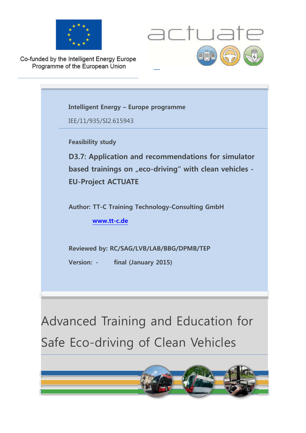



Co-funded by the Intelligent Energy Europe Programme of the European Union

> Advanced Training and Education for **Intelligent Energy – Europe programme**  IEE/11/935/SI2.615943 **Feasibility study D3.7: Application and recommendations for simulator** based trainings on "eco-driving" with clean vehicles -**EU-Project ACTUATE Author: TT-C Training Technology-Consulting GmbH www.tt-c.de Reviewed by: RC/SAG/LVB/LAB/BBG/DPMB/TEP Version: - final (January 2015)**

Safe Eco-driving of Clean Vehicles

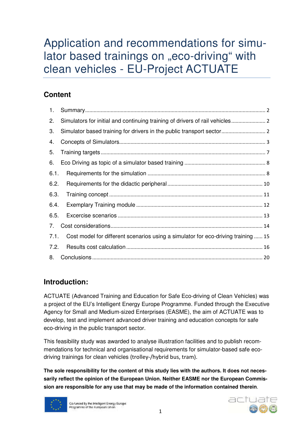# Application and recommendations for simulator based trainings on "eco-driving" with clean vehicles - EU-Project ACTUATE

### **Content**

| 1.   |                                                                                   |
|------|-----------------------------------------------------------------------------------|
| 2.   |                                                                                   |
| 3.   |                                                                                   |
| 4.   |                                                                                   |
| 5.   |                                                                                   |
| 6.   |                                                                                   |
| 6.1. |                                                                                   |
| 6.2. |                                                                                   |
| 6.3. |                                                                                   |
| 6.4. |                                                                                   |
| 6.5. |                                                                                   |
| 7.   |                                                                                   |
| 7.1. | Cost model for different scenarios using a simulator for eco-driving training  15 |
| 7.2. |                                                                                   |
| 8.   |                                                                                   |

### **Introduction:**

ACTUATE (Advanced Training and Education for Safe Eco-driving of Clean Vehicles) was a project of the EU's Intelligent Energy Europe Programme. Funded through the Executive Agency for Small and Medium-sized Enterprises (EASME), the aim of ACTUATE was to develop, test and implement advanced driver training and education concepts for safe eco-driving in the public transport sector.

This feasibility study was awarded to analyse illustration facilities and to publish recommendations for technical and organisational requirements for simulator-based safe ecodriving trainings for clean vehicles (trolley-/hybrid bus, tram).

**The sole responsibility for the content of this study lies with the authors. It does not necessarily reflect the opinion of the European Union. Neither EASME nor the European Commission are responsible for any use that may be made of the information contained therein**.



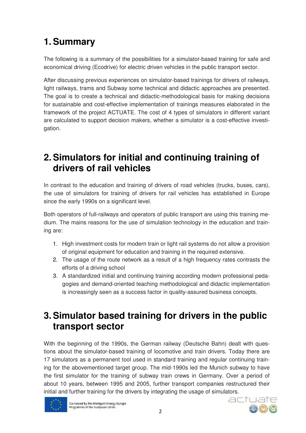# **1. Summary**

The following is a summary of the possibilities for a simulator-based training for safe and economical driving (Ecodrive) for electric driven vehicles in the public transport sector.

After discussing previous experiences on simulator-based trainings for drivers of railways, light railways, trams and Subway some technical and didactic approaches are presented. The goal is to create a technical and didactic-methodological basis for making decisions for sustainable and cost-effective implementation of trainings measures elaborated in the framework of the project ACTUATE. The cost of 4 types of simulators in different variant are calculated to support decision makers, whether a simulator is a cost-effective investigation.

### **2. Simulators for initial and continuing training of drivers of rail vehicles**

In contrast to the education and training of drivers of road vehicles (trucks, buses, cars), the use of simulators for training of drivers for rail vehicles has established in Europe since the early 1990s on a significant level.

Both operators of full-railways and operators of public transport are using this training medium. The mains reasons for the use of simulation technology in the education and training are:

- 1. High investment costs for modern train or light rail systems do not allow a provision of original equipment for education and training in the required extensive.
- 2. The usage of the route network as a result of a high frequency rates contrasts the efforts of a driving school
- 3. A standardized initial and continuing training according modern professional pedagogies and demand-oriented teaching methodological and didactic implementation is increasingly seen as a success factor in quality-assured business concepts.

### **3. Simulator based training for drivers in the public transport sector**

With the beginning of the 1990s, the German railway (Deutsche Bahn) dealt with questions about the simulator-based training of locomotive and train drivers. Today there are 17 simulators as a permanent tool used in standard training and regular continuing training for the abovementioned target group. The mid-1990s led the Munich subway to have the first simulator for the training of subway train crews in Germany. Over a period of about 10 years, between 1995 and 2005, further transport companies restructured their initial and further training for the drivers by integrating the usage of simulators.



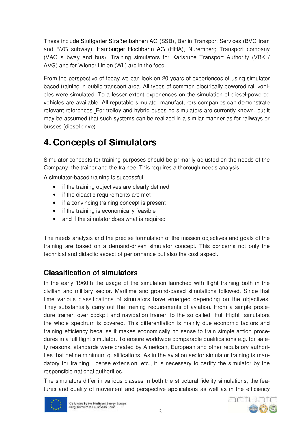These include Stuttgarter Straßenbahnen AG (SSB), Berlin Transport Services (BVG tram and BVG subway), Hamburger Hochbahn AG (HHA), Nuremberg Transport company (VAG subway and bus). Training simulators for Karlsruhe Transport Authority (VBK / AVG) and for Wiener Linien (WL) are in the feed.

From the perspective of today we can look on 20 years of experiences of using simulator based training in public transport area. All types of common electrically powered rail vehicles were simulated. To a lesser extent experiences on the simulation of diesel-powered vehicles are available. All reputable simulator manufacturers companies can demonstrate relevant references. For trolley and hybrid buses no simulators are currently known, but it may be assumed that such systems can be realized in a similar manner as for railways or busses (diesel drive).

# **4. Concepts of Simulators**

Simulator concepts for training purposes should be primarily adjusted on the needs of the Company, the trainer and the trainee. This requires a thorough needs analysis.

A simulator-based training is successful

- if the training objectives are clearly defined
- if the didactic requirements are met
- if a convincing training concept is present
- if the training is economically feasible
- and if the simulator does what is required

The needs analysis and the precise formulation of the mission objectives and goals of the training are based on a demand-driven simulator concept. This concerns not only the technical and didactic aspect of performance but also the cost aspect.

### **Classification of simulators**

In the early 1960th the usage of the simulation launched with flight training both in the civilian and military sector. Maritime and ground-based simulations followed. Since that time various classifications of simulators have emerged depending on the objectives. They substantially carry out the training requirements of aviation. From a simple procedure trainer, over cockpit and navigation trainer, to the so called "Full Flight" simulators the whole spectrum is covered. This differentiation is mainly due economic factors and training efficiency because it makes economically no sense to train simple action procedures in a full flight simulator. To ensure worldwide comparable qualifications e.g. for safety reasons, standards were created by American, European and other regulatory authorities that define minimum qualifications. As in the aviation sector simulator training is mandatory for training, license extension, etc., it is necessary to certify the simulator by the responsible national authorities.

The simulators differ in various classes in both the structural fidelity simulations, the features and quality of movement and perspective applications as well as in the efficiency



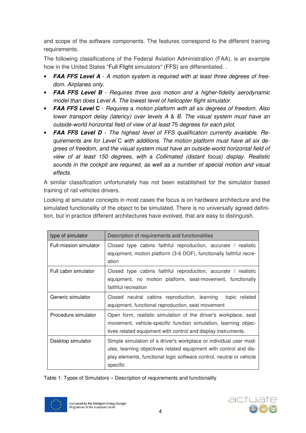and scope of the software components. The features correspond to the different training requirements.

The following classifications of the Federal Aviation Administration (FAA), is an example how in the United States "Full Flight simulators" (FFS) are differentiated. .

- **FAA FFS Level A** A motion system is required with at least three degrees of freedom. Airplanes only.
- **FAA FFS Level B** Requires three axis motion and a higher-fidelity aerodynamic model than does Level A. The lowest Ievel of helicopter flight simulator.
- **FAA FFS Level C**  Requires a motion platform with all six degrees of freedom. Also lower transport delay (latency) over Ievels A & B. The visual system must have an outside-world horizontal field of view of at least 75 degrees for each pilot.
- **FAA FFS Level D**  The highest Ievel of FFS qualification currently available. Requirements are for Level C with additions. The motion platform must have all six degrees of freedom, and the visual system must have an outside-world horizontal field of view of at least 150 degrees, with a Collimated (distant focus) display. Realistic sounds in the cockpit are required, as well as a number of special motion and visual effects.

A similar classification unfortunately has not been established for the simulator based training of rail vehicles drivers.

Looking at simulator concepts in most cases the focus is on hardware architecture and the simulated functionality of the object to be simulated. There is no universally agreed definition, but in practice different architectures have evolved, that are easy to distinguish.

| type of simulator      | Description of requirements and functionalities                                                                                                                                                                            |
|------------------------|----------------------------------------------------------------------------------------------------------------------------------------------------------------------------------------------------------------------------|
| Full-mission simulator | Closed type cabins faithful reproduction, accurate / realistic<br>equipment, motion platform (3-6 DOF), functionally faithful recre-<br>ation                                                                              |
| Full cabin simulator   | Closed type cabins faithful reproduction, accurate / realistic<br>equipment, no motion platform, seat-movement, functionally<br>faithful recreation                                                                        |
| Generic simulator      | Closed neutral cabins reproduction, learning<br>topic related<br>equipment, functional reproduction, seat movement                                                                                                         |
| Procedure simulator    | Open form, realistic simulation of the driver's workplace, seat<br>movement, vehicle-specific function simulation, learning objec-<br>tives related equipment with control and display instruments.                        |
| Desktop simulator      | Simple simulation of a driver's workplace or individual user mod-<br>ules, learning objectives related equipment with control and dis-<br>play elements, functional logic software control, neutral or vehicle<br>specific |

Table 1: Types of Simulators – Description of requirements and functionality



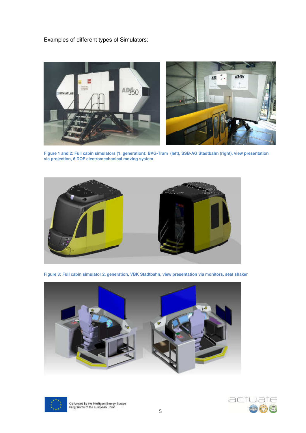Examples of different types of Simulators:



**Figure 1 and 2: Full cabin simulators (1. generation): BVG-Tram (left), SSB-AG Stadtbahn (right), view presentation via projection, 6 DOF electromechanical moving system** 



**Figure 3: Full cabin simulator 2. generation, VBK Stadtbahn, view presentation via monitors, seat shaker** 





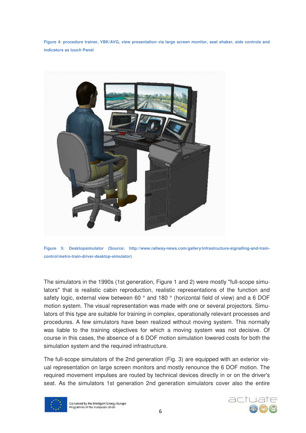**Figure 4: procedure trainer, VBK/AVG, view presentation via large screen monitor, seat shaker, side controls and indicators as touch Panel** 





The simulators in the 1990s (1st generation, Figure 1 and 2) were mostly "full-scope simulators" that is realistic cabin reproduction, realistic representations of the function and safety logic, external view between 60 ° and 180 ° (horizontal field of view) and a 6 DOF motion system. The visual representation was made with one or several projectors. Simulators of this type are suitable for training in complex, operationally relevant processes and procedures. A few simulators have been realized without moving system. This normally was liable to the training objectives for which a moving system was not decisive. Of course in this cases, the absence of a 6 DOF motion simulation lowered costs for both the simulation system and the required infrastructure.

The full-scope simulators of the 2nd generation (Fig. 3) are equipped with an exterior visual representation on large screen monitors and mostly renounce the 6 DOF motion. The required movement impulses are routed by technical devices directly in or on the driver's seat. As the simulators 1st generation 2nd generation simulators cover also the entire



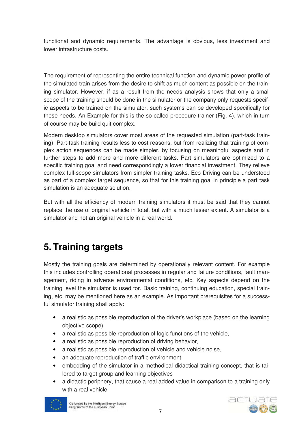functional and dynamic requirements. The advantage is obvious, less investment and lower infrastructure costs.

The requirement of representing the entire technical function and dynamic power profile of the simulated train arises from the desire to shift as much content as possible on the training simulator. However, if as a result from the needs analysis shows that only a small scope of the training should be done in the simulator or the company only requests specific aspects to be trained on the simulator, such systems can be developed specifically for these needs. An Example for this is the so-called procedure trainer (Fig. 4), which in turn of course may be build quit complex.

Modern desktop simulators cover most areas of the requested simulation (part-task training). Part-task training results less to cost reasons, but from realizing that training of complex action sequences can be made simpler, by focusing on meaningful aspects and in further steps to add more and more different tasks. Part simulators are optimized to a specific training goal and need correspondingly a lower financial investment. They relieve complex full-scope simulators from simpler training tasks. Eco Driving can be understood as part of a complex target sequence, so that for this training goal in principle a part task simulation is an adequate solution.

But with all the efficiency of modern training simulators it must be said that they cannot replace the use of original vehicle in total, but with a much lesser extent. A simulator is a simulator and not an original vehicle in a real world.

## **5. Training targets**

Mostly the training goals are determined by operationally relevant content. For example this includes controlling operational processes in regular and failure conditions, fault management, riding in adverse environmental conditions, etc. Key aspects depend on the training level the simulator is used for. Basic training, continuing education, special training, etc. may be mentioned here as an example. As important prerequisites for a successful simulator training shall apply:

- a realistic as possible reproduction of the driver's workplace (based on the learning objective scope)
- a realistic as possible reproduction of logic functions of the vehicle,
- a realistic as possible reproduction of driving behavior,
- a realistic as possible reproduction of vehicle and vehicle noise,
- an adequate reproduction of traffic environment
- embedding of the simulator in a methodical didactical training concept, that is tailored to target group and learning objectives
- a didactic periphery, that cause a real added value in comparison to a training only with a real vehicle



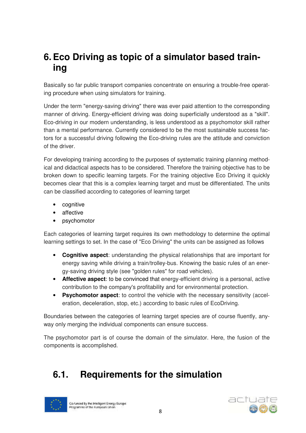### **6. Eco Driving as topic of a simulator based training**

Basically so far public transport companies concentrate on ensuring a trouble-free operating procedure when using simulators for training.

Under the term "energy-saving driving" there was ever paid attention to the corresponding manner of driving. Energy-efficient driving was doing superficially understood as a "skill". Eco-driving in our modern understanding, is less understood as a psychomotor skill rather than a mental performance. Currently considered to be the most sustainable success factors for a successful driving following the Eco-driving rules are the attitude and conviction of the driver.

For developing training according to the purposes of systematic training planning methodical and didactical aspects has to be considered. Therefore the training objective has to be broken down to specific learning targets. For the training objective Eco Driving it quickly becomes clear that this is a complex learning target and must be differentiated. The units can be classified according to categories of learning target

- cognitive
- affective
- psychomotor

Each categories of learning target requires its own methodology to determine the optimal learning settings to set. In the case of "Eco Driving" the units can be assigned as follows

- **Cognitive aspect**: understanding the physical relationships that are important for energy saving while driving a train/trolley-bus. Knowing the basic rules of an energy-saving driving style (see "golden rules" for road vehicles).
- **Affective aspect**: to be convinced that energy-efficient driving is a personal, active contribution to the company's profitability and for environmental protection.
- **Psychomotor aspect**: to control the vehicle with the necessary sensitivity (acceleration, deceleration, stop, etc.) according to basic rules of EcoDriving.

Boundaries between the categories of learning target species are of course fluently, anyway only merging the individual components can ensure success.

The psychomotor part is of course the domain of the simulator. Here, the fusion of the components is accomplished.

## **6.1. Requirements for the simulation**



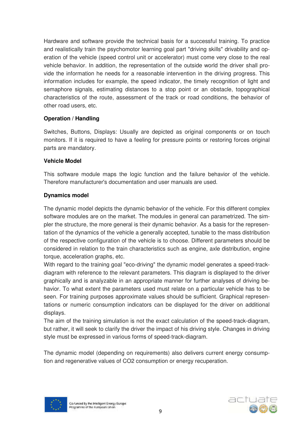Hardware and software provide the technical basis for a successful training. To practice and realistically train the psychomotor learning goal part "driving skills" drivability and operation of the vehicle (speed control unit or accelerator) must come very close to the real vehicle behavior. In addition, the representation of the outside world the driver shall provide the information he needs for a reasonable intervention in the driving progress. This information includes for example, the speed indicator, the timely recognition of light and semaphore signals, estimating distances to a stop point or an obstacle, topographical characteristics of the route, assessment of the track or road conditions, the behavior of other road users, etc.

### **Operation / Handling**

Switches, Buttons, Displays: Usually are depicted as original components or on touch monitors. If it is required to have a feeling for pressure points or restoring forces original parts are mandatory.

#### **Vehicle Model**

This software module maps the logic function and the failure behavior of the vehicle. Therefore manufacturer's documentation and user manuals are used.

### **Dynamics model**

The dynamic model depicts the dynamic behavior of the vehicle. For this different complex software modules are on the market. The modules in general can parametrized. The simpler the structure, the more general is their dynamic behavior. As a basis for the representation of the dynamics of the vehicle a generally accepted, tunable to the mass distribution of the respective configuration of the vehicle is to choose. Different parameters should be considered in relation to the train characteristics such as engine, axle distribution, engine torque, acceleration graphs, etc.

With regard to the training goal "eco-driving" the dynamic model generates a speed-trackdiagram with reference to the relevant parameters. This diagram is displayed to the driver graphically and is analyzable in an appropriate manner for further analyses of driving behavior. To what extent the parameters used must relate on a particular vehicle has to be seen. For training purposes approximate values should be sufficient. Graphical representations or numeric consumption indicators can be displayed for the driver on additional displays.

The aim of the training simulation is not the exact calculation of the speed-track-diagram, but rather, it will seek to clarify the driver the impact of his driving style. Changes in driving style must be expressed in various forms of speed-track-diagram.

The dynamic model (depending on requirements) also delivers current energy consumption and regenerative values of CO2 consumption or energy recuperation.



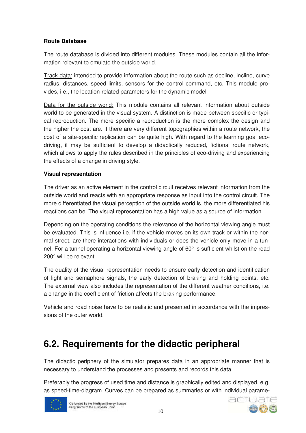### **Route Database**

The route database is divided into different modules. These modules contain all the information relevant to emulate the outside world.

Track data: intended to provide information about the route such as decline, incline, curve radius, distances, speed limits, sensors for the control command, etc. This module provides, i.e., the location-related parameters for the dynamic model

Data for the outside world: This module contains all relevant information about outside world to be generated in the visual system. A distinction is made between specific or typical reproduction. The more specific a reproduction is the more complex the design and the higher the cost are. If there are very different topographies within a route network, the cost of a site-specific replication can be quite high. With regard to the learning goal ecodriving, it may be sufficient to develop a didactically reduced, fictional route network, which allows to apply the rules described in the principles of eco-driving and experiencing the effects of a change in driving style.

#### **Visual representation**

The driver as an active element in the control circuit receives relevant information from the outside world and reacts with an appropriate response as input into the control circuit. The more differentiated the visual perception of the outside world is, the more differentiated his reactions can be. The visual representation has a high value as a source of information.

Depending on the operating conditions the relevance of the horizontal viewing angle must be evaluated. This is influence i.e. if the vehicle moves on its own track or within the normal street, are there interactions with individuals or does the vehicle only move in a tunnel. For a tunnel operating a horizontal viewing angle of 60° is sufficient whilst on the road 200° will be relevant.

The quality of the visual representation needs to ensure early detection and identification of light and semaphore signals, the early detection of braking and holding points, etc. The external view also includes the representation of the different weather conditions, i.e. a change in the coefficient of friction affects the braking performance.

Vehicle and road noise have to be realistic and presented in accordance with the impressions of the outer world.

### **6.2. Requirements for the didactic peripheral**

The didactic periphery of the simulator prepares data in an appropriate manner that is necessary to understand the processes and presents and records this data.

Preferably the progress of used time and distance is graphically edited and displayed, e.g. as speed-time-diagram. Curves can be prepared as summaries or with individual parame-



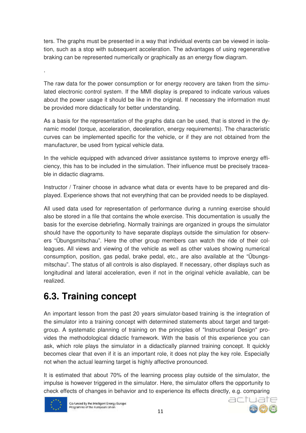ters. The graphs must be presented in a way that individual events can be viewed in isolation, such as a stop with subsequent acceleration. The advantages of using regenerative braking can be represented numerically or graphically as an energy flow diagram.

.

The raw data for the power consumption or for energy recovery are taken from the simulated electronic control system. If the MMI display is prepared to indicate various values about the power usage it should be like in the original. If necessary the information must be provided more didactically for better understanding.

As a basis for the representation of the graphs data can be used, that is stored in the dynamic model (torque, acceleration, deceleration, energy requirements). The characteristic curves can be implemented specific for the vehicle, or if they are not obtained from the manufacturer, be used from typical vehicle data.

In the vehicle equipped with advanced driver assistance systems to improve energy efficiency, this has to be included in the simulation. Their influence must be precisely traceable in didactic diagrams.

Instructor / Trainer choose in advance what data or events have to be prepared and displayed. Experience shows that not everything that can be provided needs to be displayed.

All used data used for representation of performance during a running exercise should also be stored in a file that contains the whole exercise. This documentation is usually the basis for the exercise debriefing. Normally trainings are organized in groups the simulator should have the opportunity to have separate displays outside the simulation for observers "Übungsmitschau". Here the other group members can watch the ride of their colleagues. All views and viewing of the vehicle as well as other values showing numerical consumption, position, gas pedal, brake pedal, etc., are also available at the "Übungsmitschau". The status of all controls is also displayed. If necessary, other displays such as longitudinal and lateral acceleration, even if not in the original vehicle available, can be realized.

# **6.3. Training concept**

An important lesson from the past 20 years simulator-based training is the integration of the simulator into a training concept with determined statements about target and targetgroup. A systematic planning of training on the principles of "Instructional Design" provides the methodological didactic framework. With the basis of this experience you can ask, which role plays the simulator in a didactically planned training concept. It quickly becomes clear that even if it is an important role, it does not play the key role. Especially not when the actual learning target is highly affective pronounced.

It is estimated that about 70% of the learning process play outside of the simulator, the impulse is however triggered in the simulator. Here, the simulator offers the opportunity to check effects of changes in behavior and to experience its effects directly, e.g. comparing



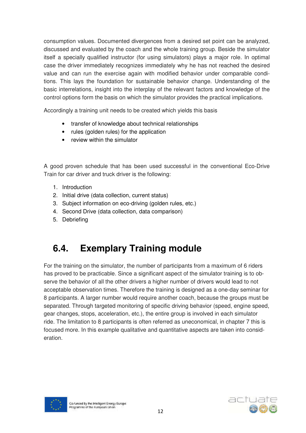consumption values. Documented divergences from a desired set point can be analyzed, discussed and evaluated by the coach and the whole training group. Beside the simulator itself a specially qualified instructor (for using simulators) plays a major role. In optimal case the driver immediately recognizes immediately why he has not reached the desired value and can run the exercise again with modified behavior under comparable conditions. This lays the foundation for sustainable behavior change. Understanding of the basic interrelations, insight into the interplay of the relevant factors and knowledge of the control options form the basis on which the simulator provides the practical implications.

Accordingly a training unit needs to be created which yields this basis

- transfer of knowledge about technical relationships
- rules (golden rules) for the application
- review within the simulator

A good proven schedule that has been used successful in the conventional Eco-Drive Train for car driver and truck driver is the following:

- 1. Introduction
- 2. Initial drive (data collection, current status)
- 3. Subject information on eco-driving (golden rules, etc.)
- 4. Second Drive (data collection, data comparison)
- 5. Debriefing

### **6.4. Exemplary Training module**

For the training on the simulator, the number of participants from a maximum of 6 riders has proved to be practicable. Since a significant aspect of the simulator training is to observe the behavior of all the other drivers a higher number of drivers would lead to not acceptable observation times. Therefore the training is designed as a one-day seminar for 8 participants. A larger number would require another coach, because the groups must be separated. Through targeted monitoring of specific driving behavior (speed, engine speed, gear changes, stops, acceleration, etc.), the entire group is involved in each simulator ride. The limitation to 8 participants is often referred as uneconomical, in chapter 7 this is focused more. In this example qualitative and quantitative aspects are taken into consideration.



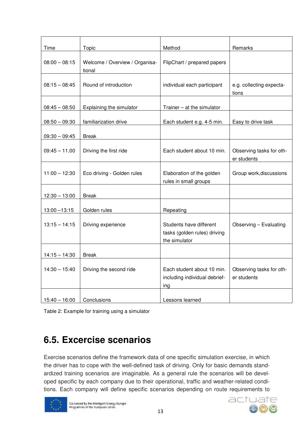| Time            | Topic                                    | Method                                                                   | Remarks                                 |
|-----------------|------------------------------------------|--------------------------------------------------------------------------|-----------------------------------------|
| $08:00 - 08:15$ | Welcome / Overview / Organisa-<br>tional | FlipChart / prepared papers                                              |                                         |
| $08:15 - 08:45$ | Round of introduction                    | individual each participant                                              | e.g. collecting expecta-<br>tions       |
| $08:45 - 08:50$ | Explaining the simulator                 | Trainer - at the simulator                                               |                                         |
| $08:50 - 09:30$ | familiarization drive                    | Each student e.g. 4-5 min.                                               | Easy to drive task                      |
| $09:30 - 09:45$ | <b>Break</b>                             |                                                                          |                                         |
| $09:45 - 11.00$ | Driving the first ride                   | Each student about 10 min.                                               | Observing tasks for oth-<br>er students |
| $11:00 - 12:30$ | Eco driving - Golden rules               | Elaboration of the golden<br>rules in small groups                       | Group work, discussions                 |
| $12:30 - 13:00$ | <b>Break</b>                             |                                                                          |                                         |
| $13:00 - 13:15$ | Golden rules                             | Repeating                                                                |                                         |
| $13:15 - 14:15$ | Driving experience                       | Students have different<br>tasks (golden rules) driving<br>the simulator | Observing - Evaluating                  |
| $14:15 - 14:30$ | <b>Break</b>                             |                                                                          |                                         |
| $14:30 - 15:40$ | Driving the second ride                  | Each student about 10 min.<br>including individual debrief-<br>ing       | Observing tasks for oth-<br>er students |
| $15:40 - 16:00$ | Conclusions                              | Lessons learned                                                          |                                         |

Table 2: Example for training using a simulator

## **6.5. Excercise scenarios**

Exercise scenarios define the framework data of one specific simulation exercise, in which the driver has to cope with the well-defined task of driving. Only for basic demands standardized training scenarios are imaginable. As a general rule the scenarios will be developed specific by each company due to their operational, traffic and weather-related conditions. Each company will define specific scenarios depending on route requirements to



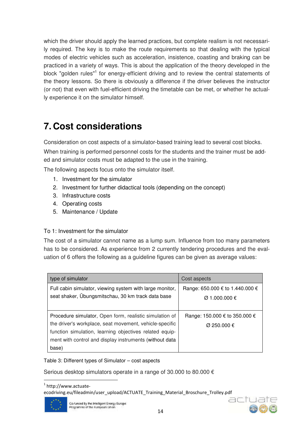which the driver should apply the learned practices, but complete realism is not necessarily required. The key is to make the route requirements so that dealing with the typical modes of electric vehicles such as acceleration, insistence, coasting and braking can be practiced in a variety of ways. This is about the application of the theory developed in the block "golden rules"<sup>1</sup> for energy-efficient driving and to review the central statements of the theory lessons. So there is obviously a difference if the driver believes the instructor (or not) that even with fuel-efficient driving the timetable can be met, or whether he actually experience it on the simulator himself.

## **7. Cost considerations**

Consideration on cost aspects of a simulator-based training lead to several cost blocks.

When training is performed personnel costs for the students and the trainer must be added and simulator costs must be adapted to the use in the training.

The following aspects focus onto the simulator itself.

- 1. Investment for the simulator
- 2. Investment for further didactical tools (depending on the concept)
- 3. Infrastructure costs
- 4. Operating costs
- 5. Maintenance / Update

#### To 1: Investment for the simulator

The cost of a simulator cannot name as a lump sum. Influence from too many parameters has to be considered. As experience from 2 currently tendering procedures and the evaluation of 6 offers the following as a guideline figures can be given as average values:

| type of simulator                                                                                                                                                                                                                                 | Cost aspects                                               |
|---------------------------------------------------------------------------------------------------------------------------------------------------------------------------------------------------------------------------------------------------|------------------------------------------------------------|
| Full cabin simulator, viewing system with large monitor,<br>seat shaker, Übungsmitschau, 30 km track data base                                                                                                                                    | Range: 650.000 € to 1.440.000 €<br>$\emptyset$ 1.000.000 € |
| Procedure simulator, Open form, realistic simulation of<br>the driver's workplace, seat movement, vehicle-specific<br>function simulation, learning objectives related equip-<br>ment with control and display instruments (without data<br>base) | Range: 150.000 € to 350.000 €<br>$\varnothing$ 250.000 €   |

#### Table 3: Different types of Simulator – cost aspects

Serious desktop simulators operate in a range of 30.000 to 80.000 €

1 http://www.actuate-

ecodriving.eu/fileadmin/user\_upload/ACTUATE\_Training\_Material\_Broschure\_Trolley.pdf



l

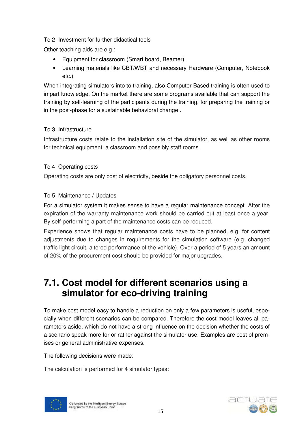### To 2: Investment for further didactical tools

Other teaching aids are e.g.:

- Equipment for classroom (Smart board, Beamer),
- Learning materials like CBT/WBT and necessary Hardware (Computer, Notebook etc.)

When integrating simulators into to training, also Computer Based training is often used to impart knowledge. On the market there are some programs available that can support the training by self-learning of the participants during the training, for preparing the training or in the post-phase for a sustainable behavioral change .

#### To 3: Infrastructure

Infrastructure costs relate to the installation site of the simulator, as well as other rooms for technical equipment, a classroom and possibly staff rooms.

### To 4: Operating costs

Operating costs are only cost of electricity, beside the obligatory personnel costs.

### To 5: Maintenance / Updates

For a simulator system it makes sense to have a regular maintenance concept. After the expiration of the warranty maintenance work should be carried out at least once a year. By self-performing a part of the maintenance costs can be reduced.

Experience shows that regular maintenance costs have to be planned, e.g. for content adjustments due to changes in requirements for the simulation software (e.g. changed traffic light circuit, altered performance of the vehicle). Over a period of 5 years an amount of 20% of the procurement cost should be provided for major upgrades.

### **7.1. Cost model for different scenarios using a simulator for eco-driving training**

To make cost model easy to handle a reduction on only a few parameters is useful, especially when different scenarios can be compared. Therefore the cost model leaves all parameters aside, which do not have a strong influence on the decision whether the costs of a scenario speak more for or rather against the simulator use. Examples are cost of premises or general administrative expenses.

The following decisions were made:

The calculation is performed for 4 simulator types:



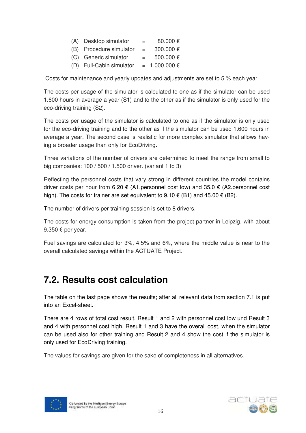| (A) Desktop simulator   | $=$ | $80.000 \in$ |
|-------------------------|-----|--------------|
| (B) Procedure simulator | $=$ | 300.000 €    |

- (C) Generic simulator  $= 500.000 \text{ } \in$
- (D) Full-Cabin simulator =  $1.000.000 \in$

Costs for maintenance and yearly updates and adjustments are set to 5 % each year.

The costs per usage of the simulator is calculated to one as if the simulator can be used 1.600 hours in average a year (S1) and to the other as if the simulator is only used for the eco-driving training (S2).

The costs per usage of the simulator is calculated to one as if the simulator is only used for the eco-driving training and to the other as if the simulator can be used 1.600 hours in average a year. The second case is realistic for more complex simulator that allows having a broader usage than only for EcoDriving.

Three variations of the number of drivers are determined to meet the range from small to big companies: 100 / 500 / 1.500 driver. (variant 1 to 3)

Reflecting the personnel costs that vary strong in different countries the model contains driver costs per hour from 6.20  $\epsilon$  (A1.personnel cost low) and 35.0  $\epsilon$  (A2.personnel cost high). The costs for trainer are set equivalent to 9.10  $\epsilon$  (B1) and 45.00  $\epsilon$  (B2).

The number of drivers per training session is set to 8 drivers.

The costs for energy consumption is taken from the project partner in Leipzig, with about 9.350 € per year.

Fuel savings are calculated for 3%, 4.5% and 6%, where the middle value is near to the overall calculated savings within the ACTUATE Project.

### **7.2. Results cost calculation**

The table on the last page shows the results; after all relevant data from section 7.1 is put into an Excel-sheet.

There are 4 rows of total cost result. Result 1 and 2 with personnel cost low und Result 3 and 4 with personnel cost high. Result 1 and 3 have the overall cost, when the simulator can be used also for other training and Result 2 and 4 show the cost if the simulator is only used for EcoDriving training.

The values for savings are given for the sake of completeness in all alternatives.



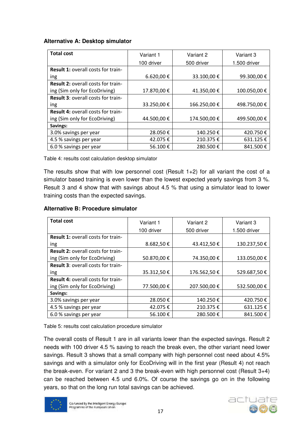#### **Alternative A: Desktop simulator**

| <b>Total cost</b>                         | Variant 1  | Variant 2    | Variant 3    |  |
|-------------------------------------------|------------|--------------|--------------|--|
|                                           | 100 driver | 500 driver   | 1.500 driver |  |
| Result 1: overall costs for train-        |            |              |              |  |
| ing                                       | 6.620,00€  | 33.100,00€   | 99.300,00€   |  |
| <b>Result 2: overall costs for train-</b> |            |              |              |  |
| ing (Sim only for EcoDriving)             | 17.870,00€ | 41.350,00€   | 100.050,00€  |  |
| <b>Result 3: overall costs for train-</b> |            |              |              |  |
| ing                                       | 33.250,00€ | 166.250,00€  | 498.750,00€  |  |
| Result 4: overall costs for train-        |            |              |              |  |
| ing (Sim only for EcoDriving)             | 44.500,00€ | 174.500,00 € | 499.500,00€  |  |
| Savings:                                  |            |              |              |  |
| 3.0% savings per year                     | 28.050€    | 140.250€     | 420.750€     |  |
| 4.5 % savings per year                    | 42.075€    | 210.375€     | 631.125€     |  |
| 6.0 % savings per year                    | 56.100€    | 280.500€     | 841.500€     |  |

Table 4: results cost calculation desktop simulator

The results show that with low personnel cost (Result  $1+2$ ) for all variant the cost of a simulator based training is even lower than the lowest expected yearly savings from 3 %. Result 3 and 4 show that with savings about 4.5 % that using a simulator lead to lower training costs than the expected savings.

#### **Alternative B: Procedure simulator**

| <b>Total cost</b>                         | Variant 1  | Variant 2    | Variant 3    |  |
|-------------------------------------------|------------|--------------|--------------|--|
|                                           | 100 driver | 500 driver   | 1.500 driver |  |
| <b>Result 1: overall costs for train-</b> |            |              |              |  |
| ing                                       | 8.682,50€  | 43.412,50 €  | 130.237,50€  |  |
| Result 2: overall costs for train-        |            |              |              |  |
| ing (Sim only for EcoDriving)             | 50.870,00€ | 74.350,00 €  | 133.050,00€  |  |
| <b>Result 3: overall costs for train-</b> |            |              |              |  |
| ing                                       | 35.312,50€ | 176.562,50€  | 529.687,50€  |  |
| <b>Result 4: overall costs for train-</b> |            |              |              |  |
| ing (Sim only for EcoDriving)             | 77.500,00€ | 207.500,00 € | 532.500,00€  |  |
| Savings:                                  |            |              |              |  |
| 3.0% savings per year                     | 28.050€    | 140.250€     | 420.750€     |  |
| 4.5 % savings per year                    | 42.075€    | 210.375€     | 631.125€     |  |
| 6.0 % savings per year                    | 56.100€    | 280.500€     | 841.500€     |  |

Table 5: results cost calculation procedure simulator

The overall costs of Result 1 are in all variants lower than the expected savings. Result 2 needs with 100 driver 4.5 % saving to reach the break even, the other variant need lower savings. Result 3 shows that a small company with high personnel cost need about 4.5% savings and with a simulator only for EcoDriving will in the first year (Result 4) not reach the break-even. For variant 2 and 3 the break-even with high personnel cost (Result 3+4) can be reached between 4.5 und 6.0%. Of course the savings go on in the following years, so that on the long run total savings can be achieved.



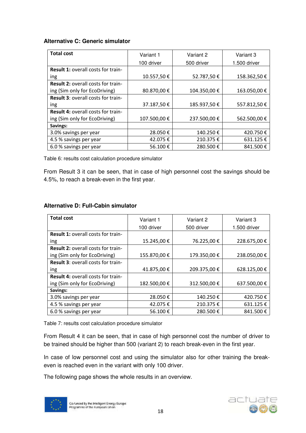#### **Alternative C: Generic simulator**

| <b>Total cost</b>                         | Variant 1   | Variant 2    | Variant 3    |  |
|-------------------------------------------|-------------|--------------|--------------|--|
|                                           | 100 driver  | 500 driver   | 1.500 driver |  |
| <b>Result 1: overall costs for train-</b> |             |              |              |  |
| ing                                       | 10.557,50€  | 52.787,50€   | 158.362,50€  |  |
| Result 2: overall costs for train-        |             |              |              |  |
| ing (Sim only for EcoDriving)             | 80.870,00€  | 104.350,00€  | 163.050,00€  |  |
| <b>Result 3: overall costs for train-</b> |             |              |              |  |
| ing                                       | 37.187,50€  | 185.937,50€  | 557.812,50€  |  |
| Result 4: overall costs for train-        |             |              |              |  |
| ing (Sim only for EcoDriving)             | 107.500,00€ | 237.500,00 € | 562.500,00€  |  |
| Savings:                                  |             |              |              |  |
| 3.0% savings per year                     | 28.050€     | 140.250€     | 420.750€     |  |
| 4.5 % savings per year                    | 42.075€     | 210.375€     | 631.125€     |  |
| 6.0 % savings per year                    | 56.100€     | 280.500€     | 841.500€     |  |

Table 6: results cost calculation procedure simulator

From Result 3 it can be seen, that in case of high personnel cost the savings should be 4.5%, to reach a break-even in the first year.

#### **Alternative D: Full-Cabin simulator**

| <b>Total cost</b>                         | Variant 1   | Variant 2   | Variant 3    |  |
|-------------------------------------------|-------------|-------------|--------------|--|
|                                           | 100 driver  | 500 driver  | 1.500 driver |  |
| <b>Result 1: overall costs for train-</b> |             |             |              |  |
| ing                                       | 15.245,00€  | 76.225,00€  | 228.675,00€  |  |
| <b>Result 2: overall costs for train-</b> |             |             |              |  |
| ing (Sim only for EcoDriving)             | 155.870,00€ | 179.350,00€ | 238.050,00€  |  |
| <b>Result 3: overall costs for train-</b> |             |             |              |  |
| ing                                       | 41.875,00€  | 209.375,00€ | 628.125,00 € |  |
| <b>Result 4: overall costs for train-</b> |             |             |              |  |
| ing (Sim only for EcoDriving)             | 182.500,00€ | 312.500,00€ | 637.500,00€  |  |
| Savings:                                  |             |             |              |  |
| 3.0% savings per year                     | 28.050€     | 140.250€    | 420.750€     |  |
| 4.5 % savings per year                    | 42.075€     | 210.375€    | 631.125€     |  |
| 6.0 % savings per year                    | 56.100€     | 280.500€    | 841.500€     |  |

Table 7: results cost calculation procedure simulator

From Result 4 it can be seen, that in case of high personnel cost the number of driver to be trained should be higher than 500 (variant 2) to reach break-even in the first year.

In case of low personnel cost and using the simulator also for other training the breakeven is reached even in the variant with only 100 driver.

The following page shows the whole results in an overview.



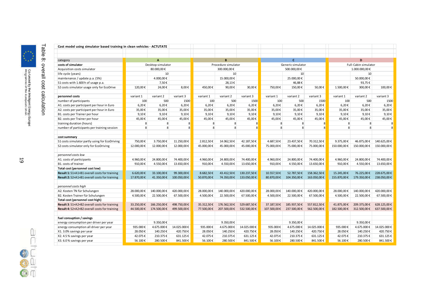| Cost model using simulator based training in clean vehicles - ACTUTATE            |                   |                          |                     |             |                   |                           |             |                      |               |             |                           |             |
|-----------------------------------------------------------------------------------|-------------------|--------------------------|---------------------|-------------|-------------------|---------------------------|-------------|----------------------|---------------|-------------|---------------------------|-------------|
|                                                                                   |                   |                          |                     |             |                   |                           |             |                      |               |             |                           |             |
| category                                                                          |                   | $\overline{A}$           |                     |             | R.                |                           |             | $\mathbf{c}$         |               |             | D                         |             |
| costs of simulator                                                                | Desktop simulator |                          | Procedure simulator |             | Generic simulator |                           |             | Full-Cabin simulator |               |             |                           |             |
| Acquisition costs simulator                                                       | 80.000,00€        |                          |                     | 300.000,00€ |                   | 500.000,00€               |             |                      | 1.000.000,00€ |             |                           |             |
| life cycle (years)                                                                |                   | 10                       |                     |             | 10                |                           |             | 10                   |               | 10          |                           |             |
| maintenance / update p.a. (5%)                                                    |                   | 4.000,00€                |                     |             | 15.000,00€        |                           |             | 25.000,00€           |               |             | 50.000,00€                |             |
| S1 costs with 1.600 h of usage p.a.                                               |                   | 7,50€                    |                     |             | 28,13€            |                           |             | 46,88€               |               |             | 93,75€                    |             |
| S2 costs simulator usage only for EcoDrive                                        | 120,00€           | 24,00€                   | 8,00€               | 450,00€     | 90,00€            | 30,00€                    | 750,00€     | 150,00€              | 50,00€        | 1.500,00€   | 300,00€                   | 100,00€     |
|                                                                                   |                   |                          |                     |             |                   |                           |             |                      |               |             |                           |             |
| personnel costs                                                                   | variant 1         | variant 2                | variant 3           | variant 1   | variant 2         | variant 3                 | variant 1   | variant 2            | variant 3     | variant 1   | variant 2                 | variant 3   |
| number of participants                                                            | 100               | 500                      | 1500                | 100         | 500               | 1500                      | 100         | 500                  | 1500          | 100         | 500                       | 1500        |
| A1. costs per participant per hour in Euro                                        | 6,20€             | 6,20€                    | 6,20€               | 6,20€       | 6,20€             | $6,20 \in$                | 6,20€       | $6,20 \in$           | 6,20€         | 6,20€       | 6,20€                     | 6,20€       |
| A2. costs per participant per hour in Euro                                        | 35,00€            | 35,00€                   | 35,00€              | 35,00€      | 35,00€            | 35,00€                    | 35,00€      | 35,00€               | 35,00€        | 35,00€      | 35,00€                    | 35,00€      |
| B1. costs per Trainer per hour                                                    | 9,10€             | $9.10 \in$               | 9,10€               | 9,10€       | 9,10€             | 9,10€                     | 9.10€       | 9,10€                | 9,10€         | 9,10€       | 9,10€                     | 9,10€       |
| B2. costs per Trainer per hour                                                    | 45,00€            | 45,00€                   | 45,00€              | 45,00€      | 45,00€            | 45,00€                    | 45,00€      | 45,00€               | 45,00€        | 45,00€      | 45,00€                    | 45,00€      |
| training duration (hours)                                                         | 8                 | 8                        | 8                   | 8           | 8                 | 8                         | 8           | 8                    | 8             | 8           | 8                         | 8           |
| number of participants per training session                                       | 8                 | 8                        | 8                   | 8           | 8                 |                           | 8           | 8                    | 8             | 8           | 8                         | 8           |
| cost summary                                                                      |                   |                          |                     |             |                   |                           |             |                      |               |             |                           |             |
| S1 costs simulator partly using for EcoDriving                                    | 750,00€           | 3.750.00€                | 11.250,00€          | 2.812,50€   | 14.062,50€        | 42.187,50€                | 4.687,50€   | 23.437,50€           | 70.312,50€    | 9.375.00€   | 46.875.00€                | 140.625.00€ |
| S2 costs simulator only for EcoDriving                                            | 12.000,00€        | 12.000,00€               | 12.000,00€          | 45.000,00€  | 45.000,00€        | 45.000,00€                | 75.000,00€  | 75.000,00€           | 75.000,00€    | 150.000,00€ | 150.000,00€               | 150.000,00€ |
| personnel costs low                                                               |                   |                          |                     |             |                   |                           |             |                      |               |             |                           |             |
| A1. costs of participants                                                         | 4.960,00€         | 24.800,00€               | 74.400,00€          | 4.960,00€   | 24.800,00€        | 74.400,00€                | 4.960,00€   | 24.800,00€           | 74.400,00€    | 4.960,00€   | 24.800,00€                | 74.400,00€  |
| B1. costs of trainer                                                              | 910,00€           | 4.550,00€                | 13.650,00€          | 910,00€     | 4.550,00€         | 13.650,00€                | 910,00€     | 4.550,00€            | 13.650,00€    | 910,00€     | 4.550,00€                 | 13.650,00€  |
| Total cost (personnel cost low)                                                   |                   |                          |                     |             |                   |                           |             |                      |               |             |                           |             |
| Result 1: S1+A1+B1 overall costs for training                                     | 6.620,00€         | 33.100,00€               | 99.300,00€          | 8.682,50€   |                   | 43.412,50 € 130.237,50 €  | 10.557,50€  | 52.787,50€           | 158.362,50€   | 15.245,00€  | 76.225,00€                | 228.675,00€ |
| Result 2: S2+A1+B1 overall costs for training                                     | 17.870,00€        | 41.350,00€               | 100.050,00€         | 50.870,00€  |                   | 74.350,00 € 133.050,00 €  | 80.870,00€  | 104.350,00€          | 163.050,00€   | 155.870,00€ | 179.350,00€               | 238.050,00€ |
|                                                                                   |                   |                          |                     |             |                   |                           |             |                      |               |             |                           |             |
| personnel costs high<br>A2. Kosten TN für Schulungen                              | 28.000,00€        | 140.000,00€              | 420.000,00€         | 28.000,00€  | 140.000,00€       | 420.000,00€               | 28.000,00€  | 140.000,00€          | 420.000,00€   | 28.000,00€  | 140.000,00€               | 420.000,00€ |
|                                                                                   |                   |                          |                     |             |                   |                           |             |                      |               |             |                           |             |
| B2. Kosten Trainer für Schulungen                                                 | 4.500,00€         | 22.500,00€               | 67.500,00€          | 4.500,00€   | 22.500,00€        | 67.500,00€                | 4.500,00€   | 22.500,00€           | 67.500,00€    | 4.500,00€   | 22.500,00€                | 67.500,00€  |
| Total cost (personnel cost high)<br>Result 3: S1+A2+B2 overall costs for training | 33.250,00€        | 166.250,00€              | 498.750,00€         | 35.312,50€  |                   | 176.562,50 € 529.687,50 € | 37.187.50€  | 185.937,50€          | 557.812.50€   |             | 41.875,00 € 209.375,00 €  | 628.125,00€ |
| Result 4: S2+A2+B2 overall costs for training                                     |                   | 44.500,00 € 174.500,00 € | 499.500,00€         | 77.500,00€  |                   | 207.500,00 € 532.500,00 € | 107.500,00€ | 237.500,00€          | 562.500,00€   |             | 182.500,00 € 312.500,00 € | 637.500,00€ |
|                                                                                   |                   |                          |                     |             |                   |                           |             |                      |               |             |                           |             |
| fuel consuption / savings                                                         |                   |                          |                     |             |                   |                           |             |                      |               |             |                           |             |
| energy consumption per driver per year                                            |                   | 9.350,00€                |                     |             | 9.350,00€         |                           |             | 9.350,00€            |               |             | 9.350,00€                 |             |
| energy consumption all driver per year                                            | 935.000€          | 4.675.000€               | 14.025.000€         | 935.000€    | 4.675.000€        | 14.025.000€               | 935.000€    | 4.675.000€           | 14.025.000€   | 935.000€    | 4.675.000€                | 14.025.000€ |
| X1. 3.0% savings per year                                                         | 28.050€           | 140.250€                 | 420.750€            | 28.050€     | 140.250€          | 420.750€                  | 28.050€     | 140.250€             | 420.750€      | 28.050€     | 140.250€                  | 420.750€    |
| X2. 4.5 % savings per year                                                        | 42.075€           | 210.375€                 | 631.125€            | 42.075€     | 210.375€          | 631.125€                  | 42.075€     | 210.375€             | 631.125€      | 42.075€     | 210.375€                  | 631.125€    |
| X3.6.0% savings per year                                                          | 56.100€           | 280.500€                 | 841.500€            | 56.100€     | 280.500€          | 841.500€                  | 56.100€     | 280.500€             | 841.500€      | 56.100€     | 280.500€                  | 841.500€    |